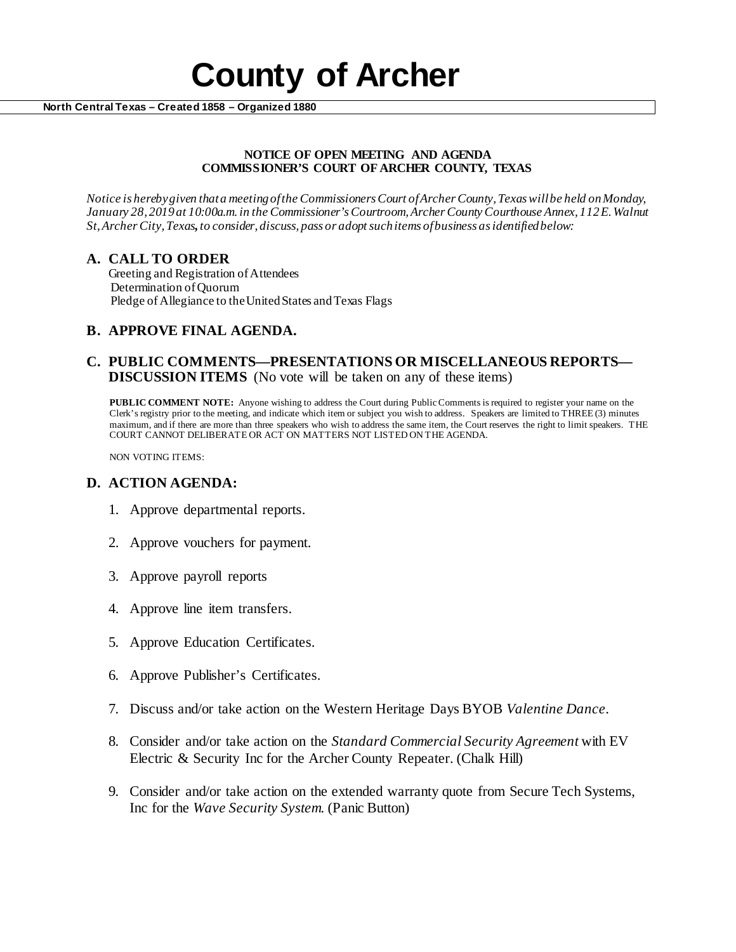# **County of Archer North Central Texas – Created 1858 – Organized 1880**

#### **NOTICE OF OPEN MEETING AND AGENDA COMMISSIONER'S COURT OF ARCHER COUNTY, TEXAS**

*Notice is hereby given that a meeting of the Commissioners Court of Archer County, Texas will be held onMonday, January 28, 2019at 10:00a.m. in the Commissioner's Courtroom, Archer County Courthouse Annex, 112 E. Walnut St, Archer City, Texas, to consider, discuss, pass or adopt such items of business as identified below:*

# **A. CALL TO ORDER**

 Greeting and Registration of Attendees Determination of Quorum Pledge of Allegiance to the United States and Texas Flags

# **B. APPROVE FINAL AGENDA.**

### **C. PUBLIC COMMENTS—PRESENTATIONS OR MISCELLANEOUS REPORTS— DISCUSSION ITEMS** (No vote will be taken on any of these items)

**PUBLIC COMMENT NOTE:** Anyone wishing to address the Court during Public Comments is required to register your name on the Clerk's registry prior to the meeting, and indicate which item or subject you wish to address. Speakers are limited to THREE (3) minutes maximum, and if there are more than three speakers who wish to address the same item, the Court reserves the right to limit speakers. THE COURT CANNOT DELIBERATE OR ACT ON MATTERS NOT LISTED ON THE AGENDA.

NON VOTING ITEMS:

# **D. ACTION AGENDA:**

- 1. Approve departmental reports.
- 2. Approve vouchers for payment.
- 3. Approve payroll reports
- 4. Approve line item transfers.
- 5. Approve Education Certificates.
- 6. Approve Publisher's Certificates.
- 7. Discuss and/or take action on the Western Heritage Days BYOB *Valentine Dance*.
- 8. Consider and/or take action on the *Standard Commercial Security Agreement* with EV Electric & Security Inc for the Archer County Repeater. (Chalk Hill)
- 9. Consider and/or take action on the extended warranty quote from Secure Tech Systems, Inc for the *Wave Security System.* (Panic Button)